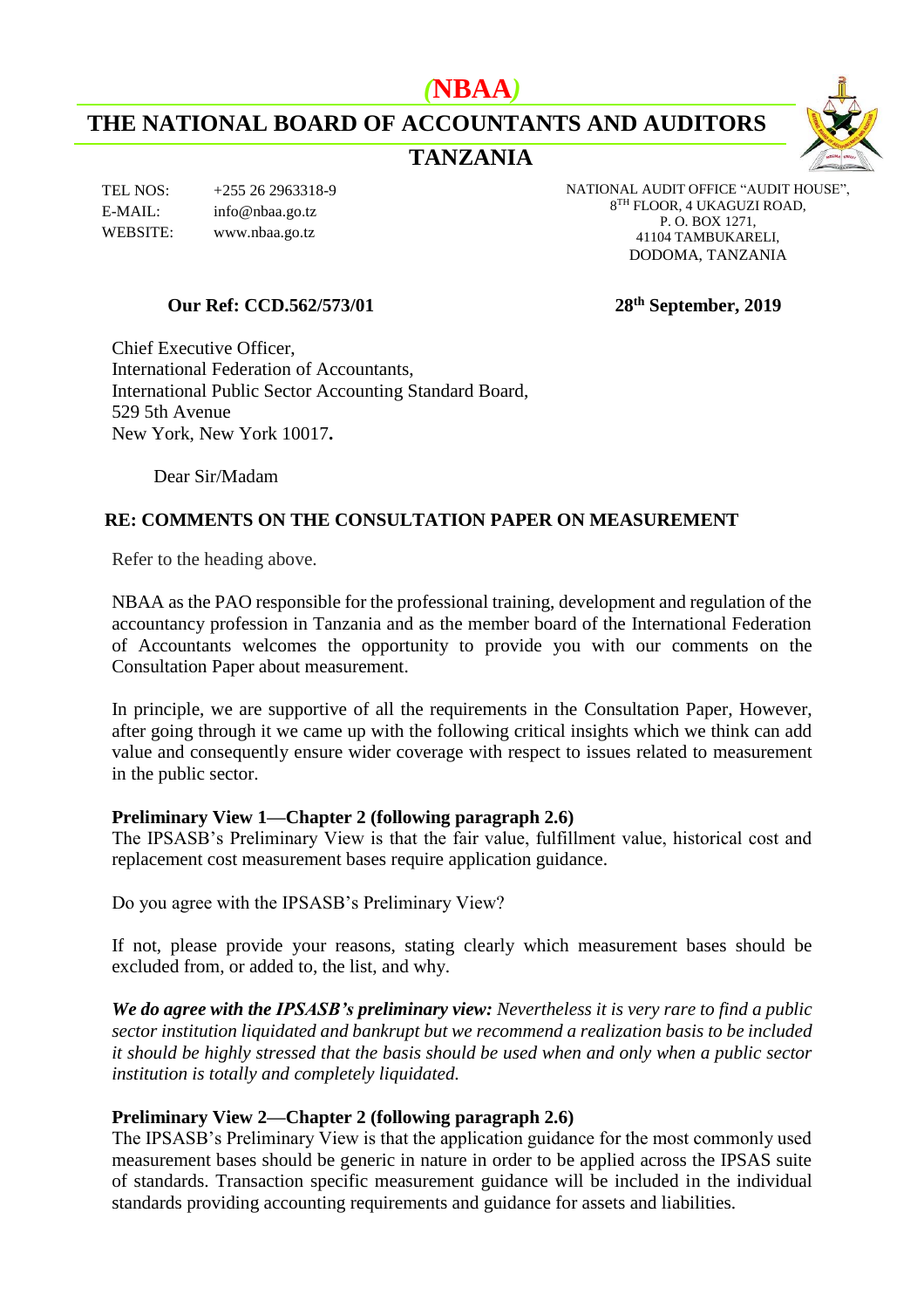# *(***NBAA***)*

**THE NATIONAL BOARD OF ACCOUNTANTS AND AUDITORS**

# **TANZANIA**



NATIONAL AUDIT OFFICE "AUDIT HOUSE", 8 TH FLOOR, 4 UKAGUZI ROAD, P. O. BOX 1271, 41104 TAMBUKARELI, DODOMA, TANZANIA

## **Our Ref: CCD.562/573/01 28th September, 2019**

Chief Executive Officer, International Federation of Accountants, International Public Sector Accounting Standard Board, 529 5th Avenue New York, New York 10017**.**

Dear Sir/Madam

# **RE: COMMENTS ON THE CONSULTATION PAPER ON MEASUREMENT**

Refer to the heading above.

NBAA as the PAO responsible for the professional training, development and regulation of the accountancy profession in Tanzania and as the member board of the International Federation of Accountants welcomes the opportunity to provide you with our comments on the Consultation Paper about measurement.

In principle, we are supportive of all the requirements in the Consultation Paper, However, after going through it we came up with the following critical insights which we think can add value and consequently ensure wider coverage with respect to issues related to measurement in the public sector.

## **Preliminary View 1—Chapter 2 (following paragraph 2.6)**

The IPSASB's Preliminary View is that the fair value, fulfillment value, historical cost and replacement cost measurement bases require application guidance.

Do you agree with the IPSASB's Preliminary View?

If not, please provide your reasons, stating clearly which measurement bases should be excluded from, or added to, the list, and why.

*We do agree with the IPSASB's preliminary view: Nevertheless it is very rare to find a public sector institution liquidated and bankrupt but we recommend a realization basis to be included it should be highly stressed that the basis should be used when and only when a public sector institution is totally and completely liquidated.*

## **Preliminary View 2—Chapter 2 (following paragraph 2.6)**

The IPSASB's Preliminary View is that the application guidance for the most commonly used measurement bases should be generic in nature in order to be applied across the IPSAS suite of standards. Transaction specific measurement guidance will be included in the individual standards providing accounting requirements and guidance for assets and liabilities.

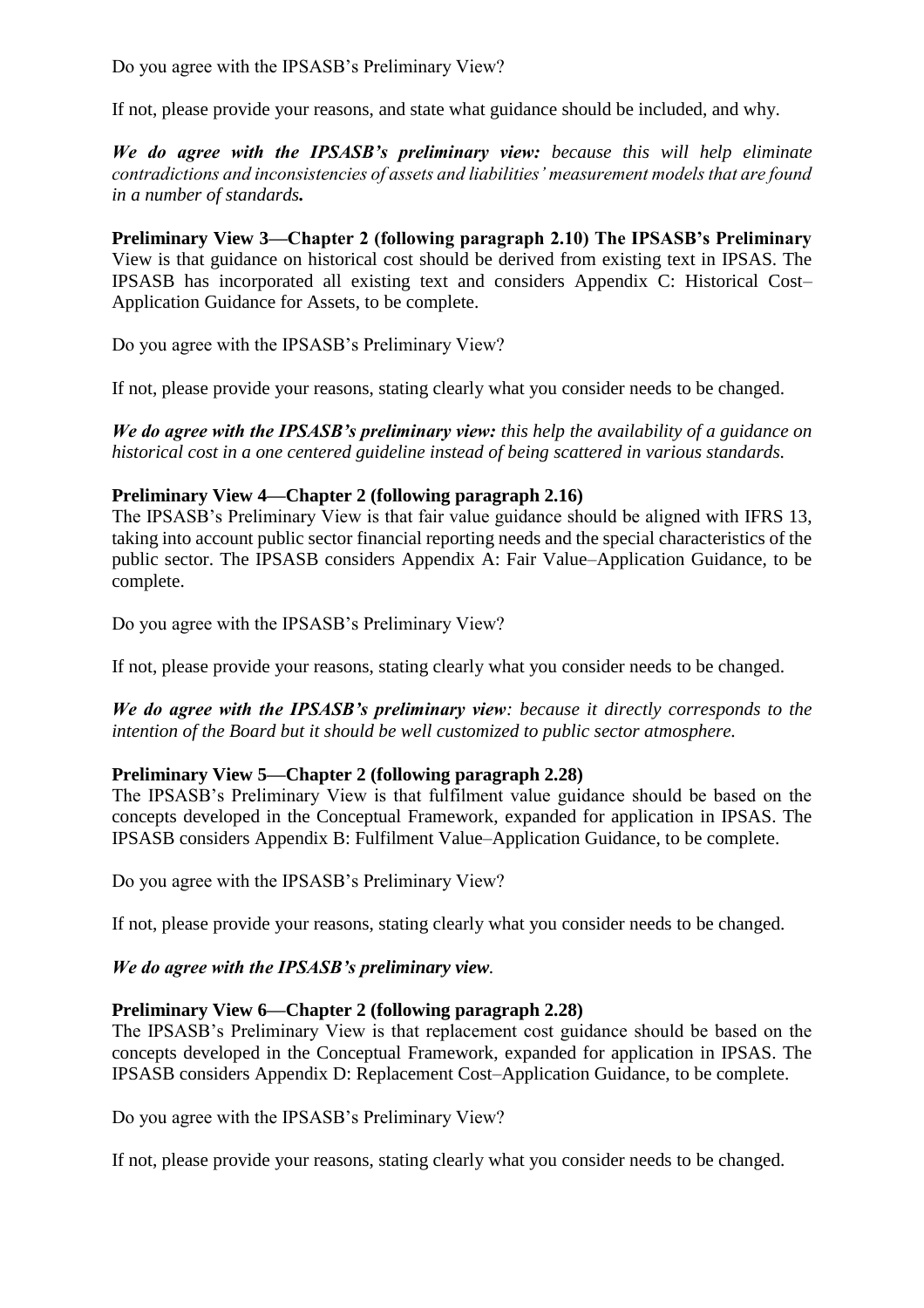If not, please provide your reasons, and state what guidance should be included, and why.

*We do agree with the IPSASB's preliminary view: because this will help eliminate contradictions and inconsistencies of assets and liabilities' measurement models that are found in a number of standards.* 

**Preliminary View 3—Chapter 2 (following paragraph 2.10) The IPSASB's Preliminary**  View is that guidance on historical cost should be derived from existing text in IPSAS. The IPSASB has incorporated all existing text and considers Appendix C: Historical Cost– Application Guidance for Assets, to be complete.

Do you agree with the IPSASB's Preliminary View?

If not, please provide your reasons, stating clearly what you consider needs to be changed.

*We do agree with the IPSASB's preliminary view: this help the availability of a guidance on historical cost in a one centered guideline instead of being scattered in various standards.* 

# **Preliminary View 4—Chapter 2 (following paragraph 2.16)**

The IPSASB's Preliminary View is that fair value guidance should be aligned with IFRS 13, taking into account public sector financial reporting needs and the special characteristics of the public sector. The IPSASB considers Appendix A: Fair Value–Application Guidance, to be complete.

Do you agree with the IPSASB's Preliminary View?

If not, please provide your reasons, stating clearly what you consider needs to be changed.

*We do agree with the IPSASB's preliminary view: because it directly corresponds to the intention of the Board but it should be well customized to public sector atmosphere.* 

# **Preliminary View 5—Chapter 2 (following paragraph 2.28)**

The IPSASB's Preliminary View is that fulfilment value guidance should be based on the concepts developed in the Conceptual Framework, expanded for application in IPSAS. The IPSASB considers Appendix B: Fulfilment Value–Application Guidance, to be complete.

Do you agree with the IPSASB's Preliminary View?

If not, please provide your reasons, stating clearly what you consider needs to be changed.

# *We do agree with the IPSASB's preliminary view.*

# **Preliminary View 6—Chapter 2 (following paragraph 2.28)**

The IPSASB's Preliminary View is that replacement cost guidance should be based on the concepts developed in the Conceptual Framework, expanded for application in IPSAS. The IPSASB considers Appendix D: Replacement Cost–Application Guidance, to be complete.

Do you agree with the IPSASB's Preliminary View?

If not, please provide your reasons, stating clearly what you consider needs to be changed.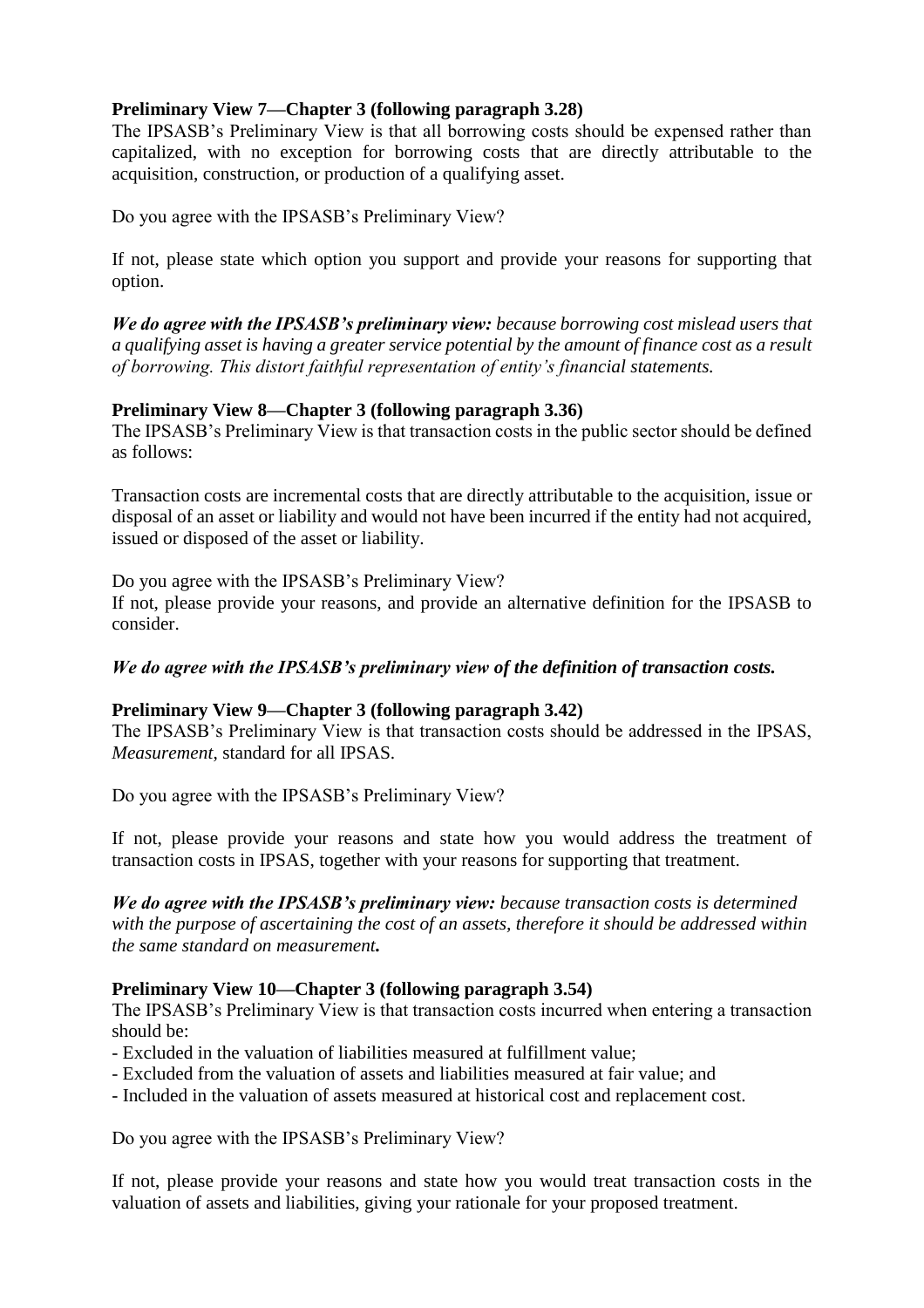## **Preliminary View 7—Chapter 3 (following paragraph 3.28)**

The IPSASB's Preliminary View is that all borrowing costs should be expensed rather than capitalized, with no exception for borrowing costs that are directly attributable to the acquisition, construction, or production of a qualifying asset.

Do you agree with the IPSASB's Preliminary View?

If not, please state which option you support and provide your reasons for supporting that option.

*We do agree with the IPSASB's preliminary view: because borrowing cost mislead users that a qualifying asset is having a greater service potential by the amount of finance cost as a result of borrowing. This distort faithful representation of entity's financial statements.*

## **Preliminary View 8—Chapter 3 (following paragraph 3.36)**

The IPSASB's Preliminary View is that transaction costs in the public sector should be defined as follows:

Transaction costs are incremental costs that are directly attributable to the acquisition, issue or disposal of an asset or liability and would not have been incurred if the entity had not acquired, issued or disposed of the asset or liability.

Do you agree with the IPSASB's Preliminary View? If not, please provide your reasons, and provide an alternative definition for the IPSASB to consider.

## *We do agree with the IPSASB's preliminary view of the definition of transaction costs.*

## **Preliminary View 9—Chapter 3 (following paragraph 3.42)**

The IPSASB's Preliminary View is that transaction costs should be addressed in the IPSAS, *Measurement*, standard for all IPSAS.

Do you agree with the IPSASB's Preliminary View?

If not, please provide your reasons and state how you would address the treatment of transaction costs in IPSAS, together with your reasons for supporting that treatment.

*We do agree with the IPSASB's preliminary view: because transaction costs is determined with the purpose of ascertaining the cost of an assets, therefore it should be addressed within the same standard on measurement.* 

## **Preliminary View 10—Chapter 3 (following paragraph 3.54)**

The IPSASB's Preliminary View is that transaction costs incurred when entering a transaction should be:

- Excluded in the valuation of liabilities measured at fulfillment value;
- Excluded from the valuation of assets and liabilities measured at fair value; and
- Included in the valuation of assets measured at historical cost and replacement cost.

Do you agree with the IPSASB's Preliminary View?

If not, please provide your reasons and state how you would treat transaction costs in the valuation of assets and liabilities, giving your rationale for your proposed treatment.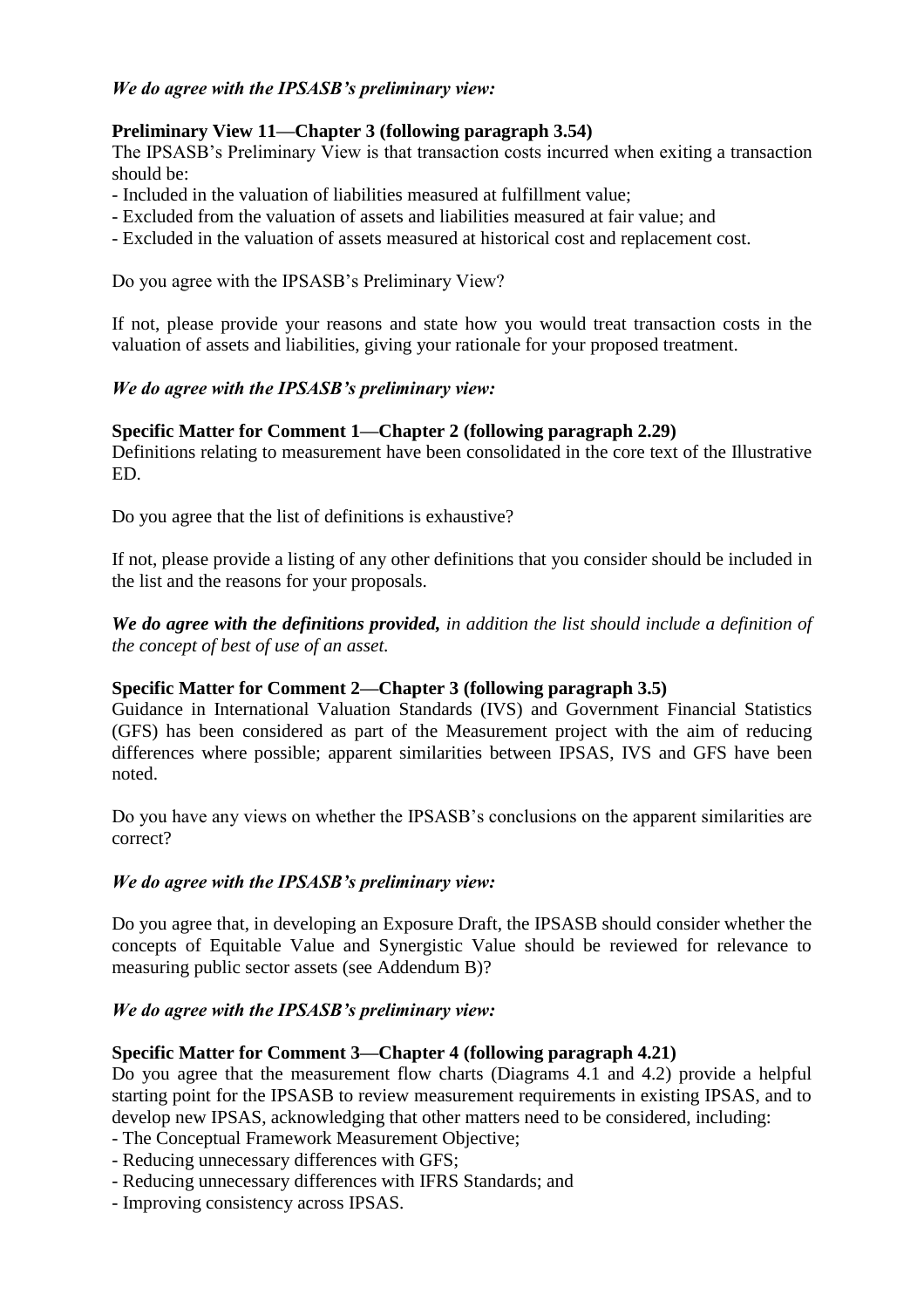#### *We do agree with the IPSASB's preliminary view:*

## **Preliminary View 11—Chapter 3 (following paragraph 3.54)**

The IPSASB's Preliminary View is that transaction costs incurred when exiting a transaction should be:

- Included in the valuation of liabilities measured at fulfillment value;
- Excluded from the valuation of assets and liabilities measured at fair value; and
- Excluded in the valuation of assets measured at historical cost and replacement cost.

Do you agree with the IPSASB's Preliminary View?

If not, please provide your reasons and state how you would treat transaction costs in the valuation of assets and liabilities, giving your rationale for your proposed treatment.

#### *We do agree with the IPSASB's preliminary view:*

#### **Specific Matter for Comment 1—Chapter 2 (following paragraph 2.29)**

Definitions relating to measurement have been consolidated in the core text of the Illustrative ED.

Do you agree that the list of definitions is exhaustive?

If not, please provide a listing of any other definitions that you consider should be included in the list and the reasons for your proposals.

*We do agree with the definitions provided, in addition the list should include a definition of the concept of best of use of an asset.*

#### **Specific Matter for Comment 2—Chapter 3 (following paragraph 3.5)**

Guidance in International Valuation Standards (IVS) and Government Financial Statistics (GFS) has been considered as part of the Measurement project with the aim of reducing differences where possible; apparent similarities between IPSAS, IVS and GFS have been noted.

Do you have any views on whether the IPSASB's conclusions on the apparent similarities are correct?

#### *We do agree with the IPSASB's preliminary view:*

Do you agree that, in developing an Exposure Draft, the IPSASB should consider whether the concepts of Equitable Value and Synergistic Value should be reviewed for relevance to measuring public sector assets (see Addendum B)?

#### *We do agree with the IPSASB's preliminary view:*

#### **Specific Matter for Comment 3—Chapter 4 (following paragraph 4.21)**

Do you agree that the measurement flow charts (Diagrams 4.1 and 4.2) provide a helpful starting point for the IPSASB to review measurement requirements in existing IPSAS, and to develop new IPSAS, acknowledging that other matters need to be considered, including:

- The Conceptual Framework Measurement Objective;
- Reducing unnecessary differences with GFS;
- Reducing unnecessary differences with IFRS Standards; and
- Improving consistency across IPSAS.